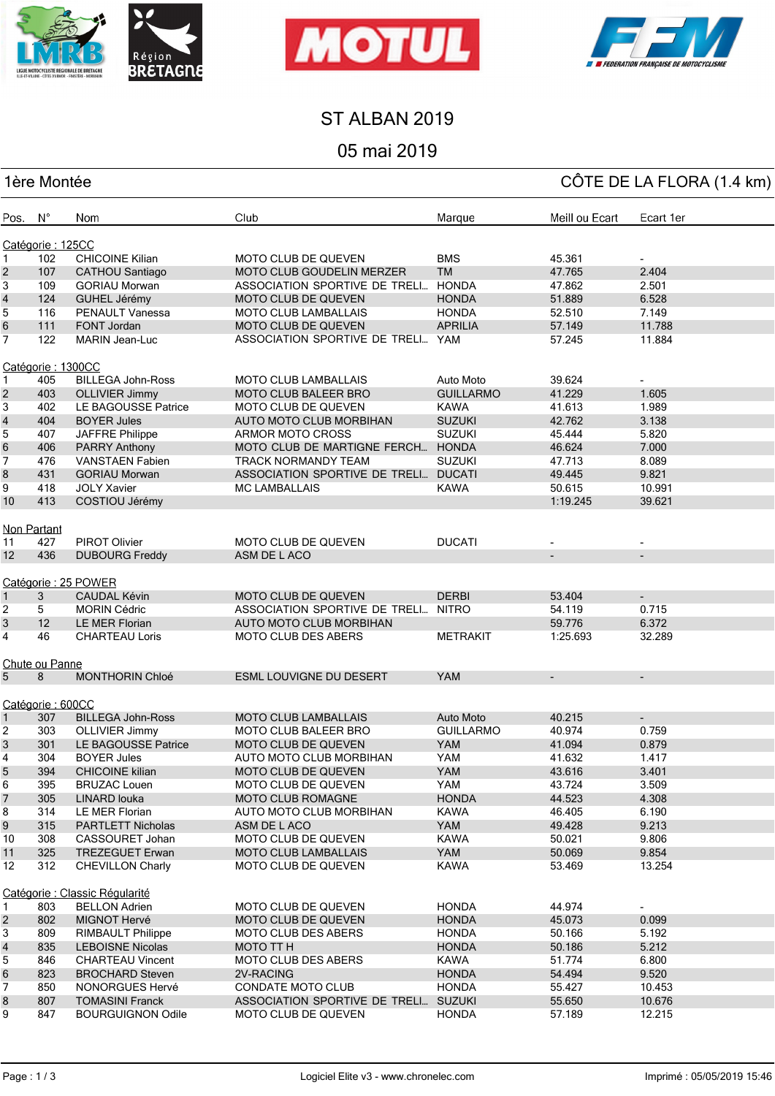





#### ST ALBAN 2019

## 05 mai 2019

# 1ère Montée CÔTE DE LA FLORA (1.4 km)

| Pos. N°                        |                   | Nom                      | Club                              | Marque           | Meill ou Ecart           | Ecart 1er                |  |
|--------------------------------|-------------------|--------------------------|-----------------------------------|------------------|--------------------------|--------------------------|--|
| Catégorie: 125CC               |                   |                          |                                   |                  |                          |                          |  |
| 1                              | 102               | <b>CHICOINE Kilian</b>   | MOTO CLUB DE QUEVEN               | <b>BMS</b>       | 45.361                   |                          |  |
| $\sqrt{2}$                     | 107               | <b>CATHOU Santiago</b>   | MOTO CLUB GOUDELIN MERZER         | <b>TM</b>        | 47.765                   | 2.404                    |  |
| 3                              | 109               | <b>GORIAU Morwan</b>     | ASSOCIATION SPORTIVE DE TRELI     | <b>HONDA</b>     | 47.862                   | 2.501                    |  |
| $\overline{\mathbf{4}}$        | 124               | GUHEL Jérémy             | <b>MOTO CLUB DE QUEVEN</b>        | <b>HONDA</b>     | 51.889                   | 6.528                    |  |
| $\overline{5}$                 | 116               | PENAULT Vanessa          | <b>MOTO CLUB LAMBALLAIS</b>       | <b>HONDA</b>     | 52.510                   | 7.149                    |  |
| 6                              | 111               | <b>FONT Jordan</b>       | <b>MOTO CLUB DE QUEVEN</b>        | <b>APRILIA</b>   | 57.149                   | 11.788                   |  |
| $\overline{7}$                 | 122               | <b>MARIN Jean-Luc</b>    | ASSOCIATION SPORTIVE DE TRELI     | YAM              | 57.245                   | 11.884                   |  |
|                                |                   |                          |                                   |                  |                          |                          |  |
|                                | Catégorie: 1300CC |                          |                                   |                  |                          |                          |  |
| 1                              | 405               | <b>BILLEGA John-Ross</b> | <b>MOTO CLUB LAMBALLAIS</b>       | Auto Moto        | 39.624                   |                          |  |
| $\sqrt{2}$                     | 403               | <b>OLLIVIER Jimmy</b>    | <b>MOTO CLUB BALEER BRO</b>       | <b>GUILLARMO</b> | 41.229                   | 1.605                    |  |
| 3                              | 402               | LE BAGOUSSE Patrice      | MOTO CLUB DE QUEVEN               | <b>KAWA</b>      | 41.613                   | 1.989                    |  |
| $\overline{\mathbf{4}}$        | 404               | <b>BOYER Jules</b>       | AUTO MOTO CLUB MORBIHAN           | <b>SUZUKI</b>    | 42.762                   | 3.138                    |  |
| 5                              | 407               | JAFFRE Philippe          | ARMOR MOTO CROSS                  | <b>SUZUKI</b>    | 45.444                   | 5.820                    |  |
| $\,6$                          | 406               | <b>PARRY Anthony</b>     | MOTO CLUB DE MARTIGNE FERCH HONDA |                  | 46.624                   | 7.000                    |  |
| $\overline{7}$                 | 476               | <b>VANSTAEN Fabien</b>   | TRACK NORMANDY TEAM               | <b>SUZUKI</b>    | 47.713                   | 8.089                    |  |
| 8                              | 431               | <b>GORIAU Morwan</b>     | ASSOCIATION SPORTIVE DE TRELI     | <b>DUCATI</b>    | 49.445                   | 9.821                    |  |
| 9                              | 418               | <b>JOLY Xavier</b>       | <b>MC LAMBALLAIS</b>              | <b>KAWA</b>      | 50.615                   | 10.991                   |  |
| 10                             | 413               | COSTIOU Jérémy           |                                   |                  | 1:19.245                 | 39.621                   |  |
| <b>Non Partant</b><br>11       | 427               | PIROT Olivier            | MOTO CLUB DE QUEVEN               | <b>DUCATI</b>    |                          |                          |  |
| 12                             | 436               |                          | ASM DE L ACO                      |                  |                          |                          |  |
|                                |                   | <b>DUBOURG Freddy</b>    |                                   |                  | $\overline{\phantom{a}}$ | $\blacksquare$           |  |
|                                |                   | Catégorie: 25 POWER      |                                   |                  |                          |                          |  |
| 1                              | 3                 | <b>CAUDAL Kévin</b>      | <b>MOTO CLUB DE QUEVEN</b>        | <b>DERBI</b>     | 53.404                   | $\overline{\phantom{a}}$ |  |
| 2                              | 5                 | <b>MORIN Cédric</b>      | ASSOCIATION SPORTIVE DE TRELI     | <b>NITRO</b>     | 54.119                   | 0.715                    |  |
| 3                              | 12                | LE MER Florian           | AUTO MOTO CLUB MORBIHAN           |                  | 59.776                   | 6.372                    |  |
| 4                              | 46                | <b>CHARTEAU Loris</b>    | <b>MOTO CLUB DES ABERS</b>        | <b>METRAKIT</b>  | 1:25.693                 | 32.289                   |  |
|                                | Chute ou Panne    |                          |                                   |                  |                          |                          |  |
| 5                              | 8                 | <b>MONTHORIN Chloé</b>   | <b>ESML LOUVIGNE DU DESERT</b>    | <b>YAM</b>       | $\overline{\phantom{a}}$ | ۰                        |  |
|                                |                   |                          |                                   |                  |                          |                          |  |
|                                | Catégorie: 600CC  |                          |                                   |                  |                          |                          |  |
| 1                              | 307               | <b>BILLEGA John-Ross</b> | MOTO CLUB LAMBALLAIS              | Auto Moto        | 40.215                   | $\overline{\phantom{a}}$ |  |
| 2                              | 303               | <b>OLLIVIER Jimmy</b>    | <b>MOTO CLUB BALEER BRO</b>       | <b>GUILLARMO</b> | 40.974                   | 0.759                    |  |
| $\mathsf 3$                    | 301               | LE BAGOUSSE Patrice      | <b>MOTO CLUB DE QUEVEN</b>        | <b>YAM</b>       | 41.094                   | 0.879                    |  |
| 4                              | 304               | <b>BOYER Jules</b>       | AUTO MOTO CLUB MORBIHAN           | YAM              | 41.632                   | 1.417                    |  |
| 5                              | 394               | <b>CHICOINE</b> kilian   | <b>MOTO CLUB DE QUEVEN</b>        | <b>YAM</b>       | 43.616                   | 3.401                    |  |
| 6                              | 395               | <b>BRUZAC Louen</b>      | MOTO CLUB DE QUEVEN               | YAM              | 43.724                   | 3.509                    |  |
| $\overline{7}$                 | 305               | LINARD louka             | <b>MOTO CLUB ROMAGNE</b>          | <b>HONDA</b>     | 44.523                   | 4.308                    |  |
| 8                              | 314               | LE MER Florian           | AUTO MOTO CLUB MORBIHAN           | <b>KAWA</b>      | 46.405                   | 6.190                    |  |
|                                | 315               | <b>PARTLETT Nicholas</b> | ASM DE LACO                       | <b>YAM</b>       |                          |                          |  |
| 9                              |                   |                          |                                   |                  | 49.428                   | 9.213                    |  |
| 10                             | 308               | CASSOURET Johan          | MOTO CLUB DE QUEVEN               | <b>KAWA</b>      | 50.021                   | 9.806                    |  |
| 11                             | 325               | <b>TREZEGUET Erwan</b>   | <b>MOTO CLUB LAMBALLAIS</b>       | YAM              | 50.069                   | 9.854                    |  |
| 12                             | 312               | <b>CHEVILLON Charly</b>  | <b>MOTO CLUB DE QUEVEN</b>        | <b>KAWA</b>      | 53.469                   | 13.254                   |  |
| Catégorie : Classic Régularité |                   |                          |                                   |                  |                          |                          |  |
| $\mathbf{1}$                   | 803               | <b>BELLON Adrien</b>     | MOTO CLUB DE QUEVEN               | <b>HONDA</b>     | 44.974                   |                          |  |
| $\sqrt{2}$                     | 802               | MIGNOT Hervé             | <b>MOTO CLUB DE QUEVEN</b>        | <b>HONDA</b>     | 45.073                   | 0.099                    |  |
| 3                              | 809               | <b>RIMBAULT Philippe</b> | <b>MOTO CLUB DES ABERS</b>        | <b>HONDA</b>     | 50.166                   | 5.192                    |  |
| $\overline{\mathbf{4}}$        | 835               | <b>LEBOISNE Nicolas</b>  | <b>MOTO TT H</b>                  | <b>HONDA</b>     | 50.186                   | 5.212                    |  |
| 5                              | 846               | <b>CHARTEAU Vincent</b>  | <b>MOTO CLUB DES ABERS</b>        | KAWA             | 51.774                   | 6.800                    |  |
| 6                              | 823               | <b>BROCHARD Steven</b>   | 2V-RACING                         | <b>HONDA</b>     | 54.494                   | 9.520                    |  |
| $\overline{7}$                 | 850               | NONORGUES Hervé          | CONDATE MOTO CLUB                 | <b>HONDA</b>     | 55.427                   | 10.453                   |  |
| 8                              | 807               | <b>TOMASINI Franck</b>   | ASSOCIATION SPORTIVE DE TRELI     | <b>SUZUKI</b>    | 55.650                   | 10.676                   |  |
| 9                              | 847               | <b>BOURGUIGNON Odile</b> | <b>MOTO CLUB DE QUEVEN</b>        | <b>HONDA</b>     | 57.189                   | 12.215                   |  |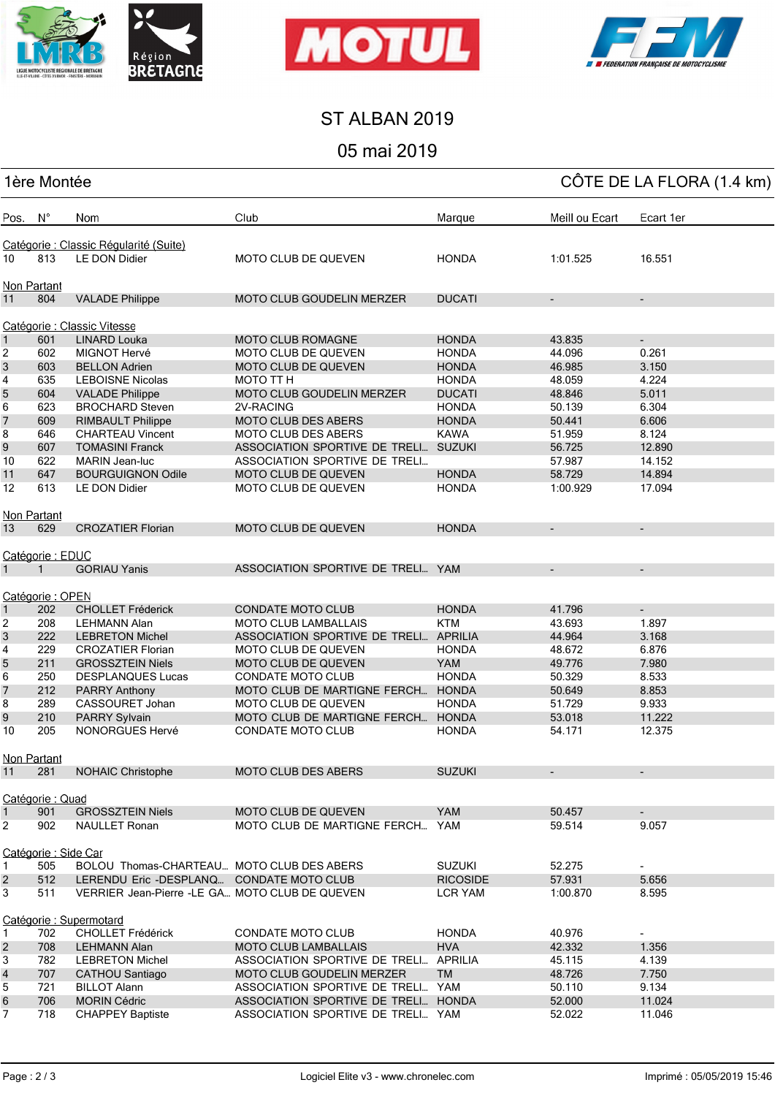





## ST ALBAN 2019

#### 05 mai 2019

| 1ère Montée              |                      |                                                     |                                                        |                 |                          | CÔTE DE LA FLORA (1.4 km) |  |
|--------------------------|----------------------|-----------------------------------------------------|--------------------------------------------------------|-----------------|--------------------------|---------------------------|--|
| Pos. N°                  |                      | Nom                                                 | Club                                                   | Marque          | Meill ou Ecart           | Ecart 1er                 |  |
|                          |                      | Catégorie : Classic Régularité (Suite)              |                                                        |                 |                          |                           |  |
| 10                       | 813                  | <b>LE DON Didier</b>                                | MOTO CLUB DE QUEVEN                                    | <b>HONDA</b>    | 1:01.525                 | 16.551                    |  |
|                          | <b>Non Partant</b>   |                                                     |                                                        |                 |                          |                           |  |
| 11                       | 804                  | <b>VALADE Philippe</b>                              | <b>MOTO CLUB GOUDELIN MERZER</b>                       | <b>DUCATI</b>   | $\overline{\phantom{a}}$ | $\overline{\phantom{a}}$  |  |
|                          |                      | Catégorie : Classic Vitesse                         |                                                        |                 |                          |                           |  |
| $\mathbf{1}$             | 601                  | <b>LINARD Louka</b>                                 | <b>MOTO CLUB ROMAGNE</b>                               | <b>HONDA</b>    | 43.835                   | $\overline{\phantom{a}}$  |  |
| 2                        | 602                  | MIGNOT Hervé                                        | <b>MOTO CLUB DE QUEVEN</b>                             | <b>HONDA</b>    | 44.096                   | 0.261                     |  |
| $\sqrt{3}$               | 603                  | <b>BELLON Adrien</b>                                | MOTO CLUB DE QUEVEN                                    | <b>HONDA</b>    | 46.985                   | 3.150                     |  |
| 4                        | 635                  | <b>LEBOISNE Nicolas</b>                             | MOTO TT H                                              | <b>HONDA</b>    | 48.059                   | 4.224                     |  |
| 5                        | 604                  | <b>VALADE Philippe</b>                              | MOTO CLUB GOUDELIN MERZER                              | <b>DUCATI</b>   | 48.846                   | 5.011                     |  |
| 6                        | 623                  | <b>BROCHARD Steven</b>                              | 2V-RACING                                              | <b>HONDA</b>    | 50.139                   | 6.304                     |  |
| $\overline{\phantom{a}}$ | 609                  | <b>RIMBAULT Philippe</b>                            | MOTO CLUB DES ABERS                                    | <b>HONDA</b>    | 50.441                   | 6.606                     |  |
| 8                        | 646                  | <b>CHARTEAU Vincent</b>                             | <b>MOTO CLUB DES ABERS</b>                             | <b>KAWA</b>     | 51.959                   | 8.124                     |  |
| 9                        | 607                  | <b>TOMASINI Franck</b>                              | ASSOCIATION SPORTIVE DE TRELI SUZUKI                   |                 | 56.725                   | 12.890                    |  |
| 10                       | 622                  | MARIN Jean-luc                                      | ASSOCIATION SPORTIVE DE TRELI                          |                 | 57.987                   | 14.152                    |  |
| 11                       | 647                  | <b>BOURGUIGNON Odile</b>                            | <b>MOTO CLUB DE QUEVEN</b>                             | <b>HONDA</b>    | 58.729                   | 14.894                    |  |
| 12                       | 613                  | LE DON Didier                                       | MOTO CLUB DE QUEVEN                                    | <b>HONDA</b>    | 1:00.929                 | 17.094                    |  |
|                          |                      |                                                     |                                                        |                 |                          |                           |  |
|                          | Non Partant          |                                                     |                                                        |                 |                          |                           |  |
| 13                       | 629                  | <b>CROZATIER Florian</b>                            | <b>MOTO CLUB DE QUEVEN</b>                             | <b>HONDA</b>    | $\overline{\phantom{a}}$ | $\blacksquare$            |  |
|                          | Catégorie: EDUC      |                                                     |                                                        |                 |                          |                           |  |
| $\mathbf{1}$             | $\mathbf{1}$         | <b>GORIAU Yanis</b>                                 | ASSOCIATION SPORTIVE DE TRELI YAM                      |                 |                          | $\overline{\phantom{a}}$  |  |
|                          |                      |                                                     |                                                        |                 |                          |                           |  |
|                          | Catégorie: OPEN      | <b>CHOLLET Fréderick</b>                            | <b>CONDATE MOTO CLUB</b>                               | <b>HONDA</b>    | 41.796                   |                           |  |
| $\mathbf{1}$             | 202                  |                                                     | <b>MOTO CLUB LAMBALLAIS</b>                            |                 |                          | $\blacksquare$            |  |
| 2                        | 208                  | <b>LEHMANN Alan</b>                                 |                                                        | <b>KTM</b>      | 43.693                   | 1.897                     |  |
| 3                        | 222                  | <b>LEBRETON Michel</b>                              | ASSOCIATION SPORTIVE DE TRELI APRILIA                  |                 | 44.964                   | 3.168                     |  |
| 4                        | 229                  | <b>CROZATIER Florian</b>                            | <b>MOTO CLUB DE QUEVEN</b>                             | <b>HONDA</b>    | 48.672                   | 6.876                     |  |
| 5                        | 211                  | <b>GROSSZTEIN Niels</b>                             | <b>MOTO CLUB DE QUEVEN</b><br><b>CONDATE MOTO CLUB</b> | <b>YAM</b>      | 49.776                   | 7.980                     |  |
| 6                        | 250                  | <b>DESPLANQUES Lucas</b>                            |                                                        | <b>HONDA</b>    | 50.329                   | 8.533                     |  |
| 7                        | 212                  | <b>PARRY Anthony</b>                                | MOTO CLUB DE MARTIGNE FERCH HONDA                      |                 | 50.649                   | 8.853                     |  |
| 8                        | 289                  | CASSOURET Johan                                     | <b>MOTO CLUB DE QUEVEN</b>                             | <b>HONDA</b>    | 51.729                   | 9.933                     |  |
| 9                        | 210                  | PARRY Sylvain                                       | MOTO CLUB DE MARTIGNE FERCH HONDA                      |                 | 53.018                   | 11.222                    |  |
| 10                       | 205                  | <b>NONORGUES Hervé</b>                              | <b>CONDATE MOTO CLUB</b>                               | <b>HONDA</b>    | 54.171                   | 12.375                    |  |
|                          | <b>Non Partant</b>   |                                                     |                                                        |                 |                          |                           |  |
| 11                       | 281                  | <b>NOHAIC Christophe</b>                            | MOTO CLUB DES ABERS                                    | <b>SUZUKI</b>   |                          |                           |  |
|                          | Catégorie : Quad     |                                                     |                                                        |                 |                          |                           |  |
| $\mathbf{1}$             | 901                  | <b>GROSSZTEIN Niels</b>                             | <b>MOTO CLUB DE QUEVEN</b>                             | YAM             | 50.457                   |                           |  |
| 2                        | 902                  | <b>NAULLET Ronan</b>                                | MOTO CLUB DE MARTIGNE FERCH YAM                        |                 | 59.514                   | 9.057                     |  |
|                          | Catégorie : Side Car |                                                     |                                                        |                 |                          |                           |  |
| $\mathbf{1}$             | 505                  | BOLOU Thomas-CHARTEAU MOTO CLUB DES ABERS           |                                                        | <b>SUZUKI</b>   | 52.275                   |                           |  |
| $\overline{c}$           | 512                  | LERENDU Eric -DESPLANQ CONDATE MOTO CLUB            |                                                        | <b>RICOSIDE</b> | 57.931                   | 5.656                     |  |
| 3                        | 511                  | VERRIER Jean-Pierre -LE GA MOTO CLUB DE QUEVEN      |                                                        | LCR YAM         | 1:00.870                 | 8.595                     |  |
|                          |                      |                                                     |                                                        |                 |                          |                           |  |
|                          | 702                  | Catégorie : Supermotard<br><b>CHOLLET Frédérick</b> | <b>CONDATE MOTO CLUB</b>                               | <b>HONDA</b>    | 40.976                   |                           |  |
| 1                        |                      |                                                     |                                                        |                 |                          | $\overline{\phantom{0}}$  |  |
| $\overline{c}$           | 708                  | <b>LEHMANN Alan</b>                                 | <b>MOTO CLUB LAMBALLAIS</b>                            | <b>HVA</b>      | 42.332                   | 1.356                     |  |
| 3                        | 782                  | <b>LEBRETON Michel</b>                              | ASSOCIATION SPORTIVE DE TRELI APRILIA                  |                 | 45.115                   | 4.139                     |  |
| 4                        | 707                  | CATHOU Santiago                                     | MOTO CLUB GOUDELIN MERZER                              | TM              | 48.726                   | 7.750                     |  |
| 5                        | 721                  | <b>BILLOT Alann</b>                                 | ASSOCIATION SPORTIVE DE TRELI YAM                      |                 | 50.110                   | 9.134                     |  |
| 6                        | 706                  | <b>MORIN Cédric</b>                                 | ASSOCIATION SPORTIVE DE TRELI HONDA                    |                 | 52.000                   | 11.024                    |  |
| 7                        | 718                  | <b>CHAPPEY Baptiste</b>                             | ASSOCIATION SPORTIVE DE TRELI YAM                      |                 | 52.022                   | 11.046                    |  |